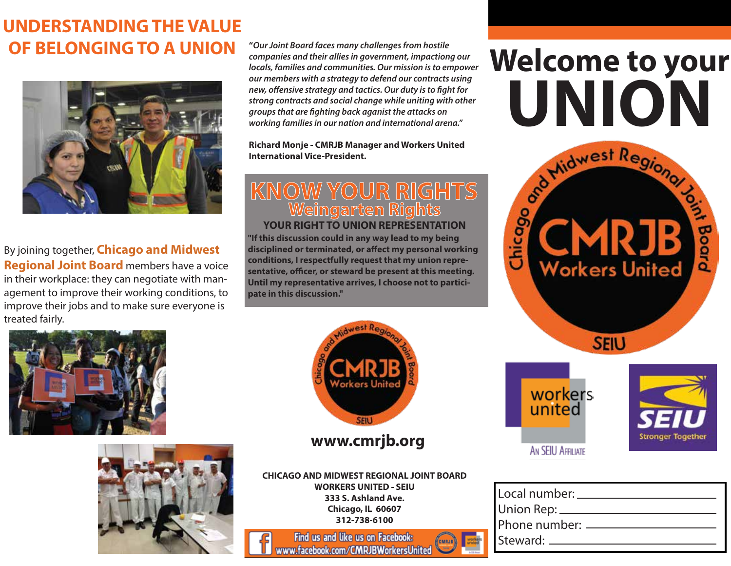## **UNDERSTANDING THE VALUE OF BELONGING TO A UNION**



By joining together, **Chicago and Midwest Regional Joint Board** members have a voice in their workplace: they can negotiate with management to improve their working conditions, to improve their jobs and to make sure everyone is treated fairly.

**"***Our Joint Board faces many challenges from hostile companies and their allies in government, impactiong our locals, families and communities. Our mission is to empower our members with a strategy to defend our contracts using new, offensive strategy and tactics. Our duty is to fight for strong contracts and social change while uniting with other groups that are ghting back aganist the attacks on working families in our nation and international arena."*

**Richard Monje - CMRJB Manager and Workers United International Vice-President.**

#### **KNOW YOUR RIGHTS Weingarten Rights YOUR RIGHT TO UNION REPRESENTATION**

**"If this discussion could in any way lead to my being**  disciplined or terminated, or affect my personal working **conditions, I respectfully request that my union repre**sentative, officer, or steward be present at this meeting. **Until my representative arrives, I choose not to participate in this discussion."**

# **Welcome to your**





**www.cmrjb.org**

**CHICAGO AND MIDWEST REGIONAL JOINT BOARD WORKERS UNITED - SEIU 333 S. Ashland Ave. Chicago, IL 60607 312-738-6100**

Find us and like us on Facebook: www.facebook.com/CMRJBWorkersUnited

| Local number: ___________________ |  |
|-----------------------------------|--|
| Union Rep: ____________           |  |
| Phone number: ________________    |  |
| Steward: _____________________    |  |
|                                   |  |